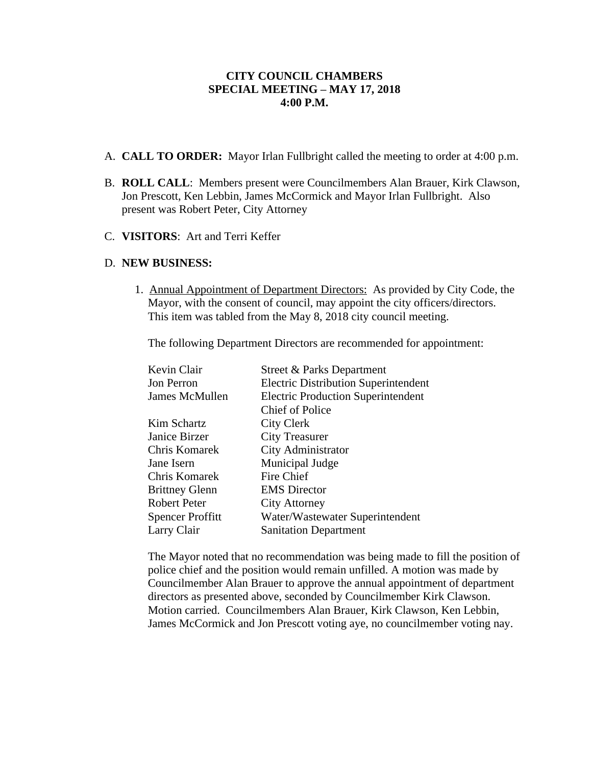## **CITY COUNCIL CHAMBERS SPECIAL MEETING – MAY 17, 2018 4:00 P.M.**

- A. **CALL TO ORDER:** Mayor Irlan Fullbright called the meeting to order at 4:00 p.m.
- B. **ROLL CALL**: Members present were Councilmembers Alan Brauer, Kirk Clawson, Jon Prescott, Ken Lebbin, James McCormick and Mayor Irlan Fullbright. Also present was Robert Peter, City Attorney
- C. **VISITORS**: Art and Terri Keffer

## D. **NEW BUSINESS:**

1. Annual Appointment of Department Directors: As provided by City Code, the Mayor, with the consent of council, may appoint the city officers/directors. This item was tabled from the May 8, 2018 city council meeting.

The following Department Directors are recommended for appointment:

| Kevin Clair             | <b>Street &amp; Parks Department</b>        |
|-------------------------|---------------------------------------------|
| Jon Perron              | <b>Electric Distribution Superintendent</b> |
| James McMullen          | <b>Electric Production Superintendent</b>   |
|                         | <b>Chief of Police</b>                      |
| Kim Schartz             | City Clerk                                  |
| Janice Birzer           | <b>City Treasurer</b>                       |
| Chris Komarek           | City Administrator                          |
| Jane Isern              | Municipal Judge                             |
| Chris Komarek           | Fire Chief                                  |
| <b>Brittney Glenn</b>   | <b>EMS</b> Director                         |
| Robert Peter            | <b>City Attorney</b>                        |
| <b>Spencer Proffitt</b> | Water/Wastewater Superintendent             |
| Larry Clair             | <b>Sanitation Department</b>                |

The Mayor noted that no recommendation was being made to fill the position of police chief and the position would remain unfilled. A motion was made by Councilmember Alan Brauer to approve the annual appointment of department directors as presented above, seconded by Councilmember Kirk Clawson. Motion carried. Councilmembers Alan Brauer, Kirk Clawson, Ken Lebbin, James McCormick and Jon Prescott voting aye, no councilmember voting nay.